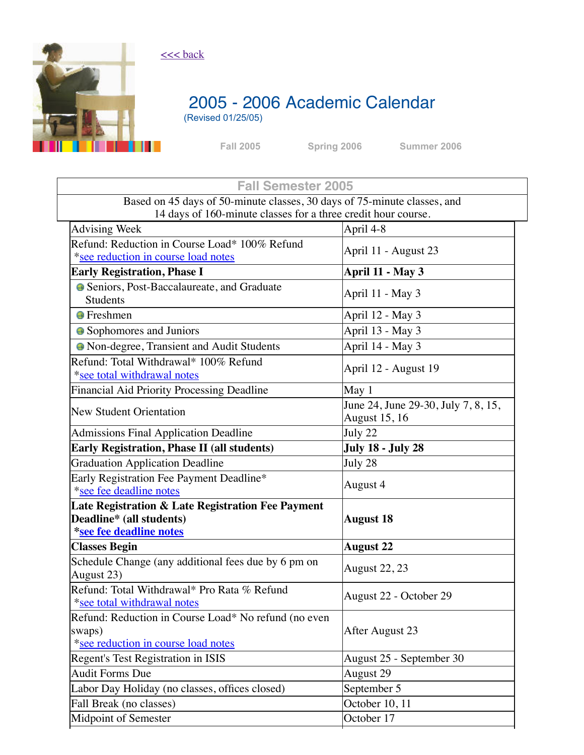

## [<<< back](https://academics.columbusstate.edu/calendars/pastcal.php)

# 2005 - 2006 Academic Calendar

(Revised 01/25/05)

<span id="page-0-0"></span>

**Fall [2005](#page-0-0) [Spring](#page-1-0) 2006 [Summer](#page-2-0) 2006**

| <b>Fall Semester 2005</b>                                                |                                     |
|--------------------------------------------------------------------------|-------------------------------------|
| Based on 45 days of 50-minute classes, 30 days of 75-minute classes, and |                                     |
| 14 days of 160-minute classes for a three credit hour course.            |                                     |
| <b>Advising Week</b>                                                     | April 4-8                           |
| Refund: Reduction in Course Load* 100% Refund                            | April 11 - August 23                |
| *see reduction in course load notes                                      |                                     |
| <b>Early Registration, Phase I</b>                                       | April 11 - May 3                    |
| Seniors, Post-Baccalaureate, and Graduate                                | April 11 - May 3                    |
| <b>Students</b>                                                          |                                     |
| <b>•</b> Freshmen                                                        | April 12 - May 3                    |
| • Sophomores and Juniors                                                 | April 13 - May 3                    |
| • Non-degree, Transient and Audit Students                               | April 14 - May 3                    |
| Refund: Total Withdrawal* 100% Refund                                    | April 12 - August 19                |
| *see total withdrawal notes                                              |                                     |
| Financial Aid Priority Processing Deadline                               | May 1                               |
| <b>New Student Orientation</b>                                           | June 24, June 29-30, July 7, 8, 15, |
|                                                                          | <b>August 15, 16</b>                |
| <b>Admissions Final Application Deadline</b>                             | July 22                             |
| <b>Early Registration, Phase II (all students)</b>                       | <b>July 18 - July 28</b>            |
| <b>Graduation Application Deadline</b>                                   | July 28                             |
| Early Registration Fee Payment Deadline*                                 | August 4                            |
| *see fee deadline notes                                                  |                                     |
| Late Registration & Late Registration Fee Payment                        |                                     |
| Deadline* (all students)                                                 | <b>August 18</b>                    |
| *see fee deadline notes                                                  |                                     |
| <b>Classes Begin</b>                                                     | <b>August 22</b>                    |
| Schedule Change (any additional fees due by 6 pm on                      | <b>August 22, 23</b>                |
| August 23)                                                               |                                     |
| Refund: Total Withdrawal* Pro Rata % Refund                              | August 22 - October 29              |
| *see total withdrawal notes                                              |                                     |
| Refund: Reduction in Course Load* No refund (no even                     | After August 23                     |
| swaps)<br>*see reduction in course load notes                            |                                     |
| Regent's Test Registration in ISIS                                       | August 25 - September 30            |
| <b>Audit Forms Due</b>                                                   | August 29                           |
| Labor Day Holiday (no classes, offices closed)                           | September 5                         |
| Fall Break (no classes)                                                  | October 10, 11                      |
| Midpoint of Semester                                                     | October 17                          |
|                                                                          |                                     |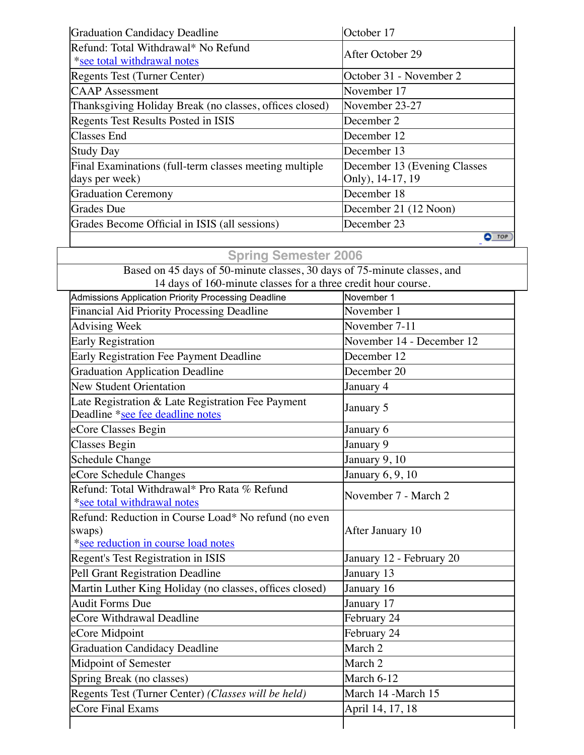| Graduation Candidacy Deadline                                            | October 17                                       |
|--------------------------------------------------------------------------|--------------------------------------------------|
| Refund: Total Withdrawal* No Refund<br>*see total withdrawal notes       | After October 29                                 |
| Regents Test (Turner Center)                                             | October 31 - November 2                          |
| <b>CAAP</b> Assessment                                                   | November 17                                      |
| Thanksgiving Holiday Break (no classes, offices closed)                  | November 23-27                                   |
| Regents Test Results Posted in ISIS                                      | December 2                                       |
| <b>Classes End</b>                                                       | December 12                                      |
| <b>Study Day</b>                                                         | December 13                                      |
| Final Examinations (full-term classes meeting multiple<br>days per week) | December 13 (Evening Classes<br>Only), 14-17, 19 |
| <b>Graduation Ceremony</b>                                               | December 18                                      |
| Grades Due                                                               | December 21 (12 Noon)                            |
| Grades Become Official in ISIS (all sessions)                            | December 23                                      |
|                                                                          | $\bullet$ TOP)                                   |

## <span id="page-1-0"></span>**Spring Semester 2006**

Based on 45 days of 50-minute classes, 30 days of 75-minute classes, and 14 days of 160-minute classes for a three credit hour course.

| Admissions Application Priority Processing Deadline                                                   | November 1                     |
|-------------------------------------------------------------------------------------------------------|--------------------------------|
| Financial Aid Priority Processing Deadline                                                            | November 1                     |
| <b>Advising Week</b>                                                                                  | November 7-11                  |
| <b>Early Registration</b>                                                                             | November 14 - December 12      |
| Early Registration Fee Payment Deadline                                                               | December 12                    |
| <b>Graduation Application Deadline</b>                                                                | December 20                    |
| <b>New Student Orientation</b>                                                                        | January 4                      |
| Late Registration & Late Registration Fee Payment<br>Deadline *see fee deadline notes                 | January 5                      |
| eCore Classes Begin                                                                                   | January 6                      |
| <b>Classes Begin</b>                                                                                  | January 9                      |
| <b>Schedule Change</b>                                                                                | January 9, 10                  |
| eCore Schedule Changes                                                                                | January 6, 9, 10               |
| Refund: Total Withdrawal* Pro Rata % Refund<br>*see total withdrawal notes                            | November 7 - March 2           |
| Refund: Reduction in Course Load* No refund (no even<br>swaps)<br>*see reduction in course load notes | After January 10               |
| Regent's Test Registration in ISIS                                                                    | January 12 - February 20       |
| Pell Grant Registration Deadline                                                                      | January 13                     |
| Martin Luther King Holiday (no classes, offices closed)                                               | January 16                     |
| <b>Audit Forms Due</b>                                                                                | January 17                     |
| eCore Withdrawal Deadline                                                                             | February 24                    |
| eCore Midpoint                                                                                        | February 24                    |
| <b>Graduation Candidacy Deadline</b>                                                                  | March <sub>2</sub>             |
| <b>Midpoint of Semester</b>                                                                           | March <sub>2</sub>             |
| Spring Break (no classes)                                                                             | $\overline{\text{March 6-12}}$ |
| Regents Test (Turner Center) (Classes will be held)                                                   | March 14 -March 15             |
| eCore Final Exams                                                                                     | April 14, 17, 18               |
|                                                                                                       |                                |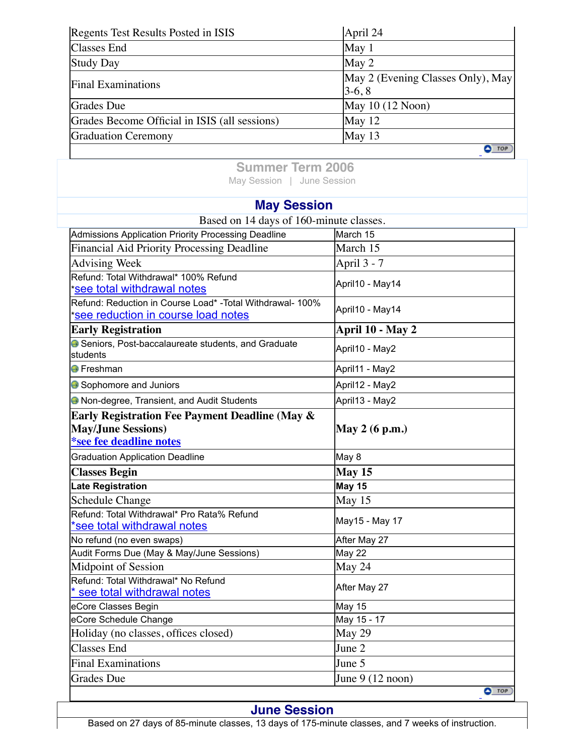| Regents Test Results Posted in ISIS           | April 24                                      |
|-----------------------------------------------|-----------------------------------------------|
| <b>Classes</b> End                            | May 1                                         |
| <b>Study Day</b>                              | May 2                                         |
| <b>Final Examinations</b>                     | May 2 (Evening Classes Only), May<br>$3-6, 8$ |
| Grades Due                                    | May $10(12 \text{ Noon})$                     |
| Grades Become Official in ISIS (all sessions) | May 12                                        |
| <b>Graduation Ceremony</b>                    | May 13                                        |
|                                               | <b>TOP</b>                                    |

<span id="page-2-0"></span>**Summer Term 2006** [May Session](#page-2-1) | [June Session](#page-2-2)

## <span id="page-2-1"></span>**May Session**

| Based on 14 days of 160-minute classes.                                                                                  |                                     |
|--------------------------------------------------------------------------------------------------------------------------|-------------------------------------|
| Admissions Application Priority Processing Deadline                                                                      | March 15                            |
| <b>Financial Aid Priority Processing Deadline</b>                                                                        | March 15                            |
| <b>Advising Week</b>                                                                                                     | April 3 - 7                         |
| Refund: Total Withdrawal* 100% Refund<br><u>see total withdrawal notes</u>                                               | April10 - May14                     |
| Refund: Reduction in Course Load* - Total Withdrawal- 100%<br><u>see reduction in course load notest</u>                 | April10 - May14                     |
| <b>Early Registration</b>                                                                                                | April 10 - May 2                    |
| Seniors, Post-baccalaureate students, and Graduate<br>students                                                           | April10 - May2                      |
| <b>●</b> Freshman                                                                                                        | April11 - May2                      |
| Sophomore and Juniors                                                                                                    | April12 - May2                      |
| O Non-degree, Transient, and Audit Students                                                                              | April13 - May2                      |
| <b>Early Registration Fee Payment Deadline (May &amp;</b><br><b>May/June Sessions)</b><br><b>*see fee deadline notes</b> | May 2 (6 p.m.)                      |
| <b>Graduation Application Deadline</b>                                                                                   | May 8                               |
| <b>Classes Begin</b>                                                                                                     | <b>May 15</b>                       |
| Late Registration                                                                                                        | <b>May 15</b>                       |
| <b>Schedule Change</b>                                                                                                   | May 15                              |
| Refund: Total Withdrawal* Pro Rata% Refund<br>*see total withdrawal notes                                                | May15 - May 17                      |
| No refund (no even swaps)                                                                                                | After May 27                        |
| Audit Forms Due (May & May/June Sessions)                                                                                | <b>May 22</b>                       |
| <b>Midpoint of Session</b>                                                                                               | May 24                              |
| Refund: Total Withdrawal* No Refund<br>see total withdrawal notes                                                        | After May 27                        |
| eCore Classes Begin                                                                                                      | <b>May 15</b>                       |
| eCore Schedule Change                                                                                                    | May 15 - 17                         |
| Holiday (no classes, offices closed)                                                                                     | May 29                              |
| <b>Classes End</b>                                                                                                       | June 2                              |
| <b>Final Examinations</b>                                                                                                | June 5                              |
| <b>Grades</b> Due                                                                                                        | June $9(12 \text{ noon})$<br>O(10P) |

## <span id="page-2-2"></span>**June Session**

Based on 27 days of 85-minute classes, 13 days of 175-minute classes, and 7 weeks of instruction.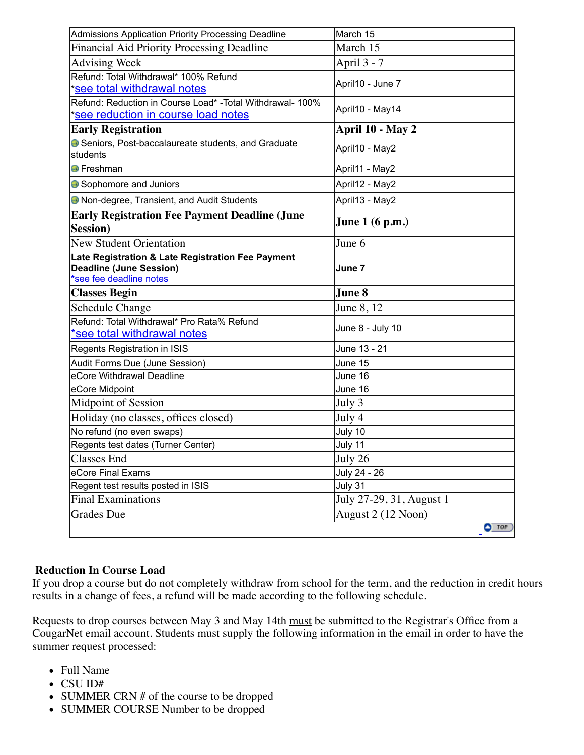| Admissions Application Priority Processing Deadline                                                            | March 15                 |
|----------------------------------------------------------------------------------------------------------------|--------------------------|
| Financial Aid Priority Processing Deadline                                                                     | March 15                 |
| <b>Advising Week</b>                                                                                           | April 3 - 7              |
| Refund: Total Withdrawal* 100% Refund<br>*see total withdrawal notes                                           | April10 - June 7         |
| Refund: Reduction in Course Load* - Total Withdrawal- 100%<br>*see reduction in course load notes              | April10 - May14          |
| <b>Early Registration</b>                                                                                      | April 10 - May 2         |
| Seniors, Post-baccalaureate students, and Graduate<br>students                                                 | April10 - May2           |
| <b>●</b> Freshman                                                                                              | April11 - May2           |
| Sophomore and Juniors                                                                                          | April12 - May2           |
| Non-degree, Transient, and Audit Students                                                                      | April13 - May2           |
| <b>Early Registration Fee Payment Deadline (June</b><br><b>Session</b> )                                       | <b>June 1 (6 p.m.)</b>   |
| <b>New Student Orientation</b>                                                                                 | June 6                   |
| Late Registration & Late Registration Fee Payment<br><b>Deadline (June Session)</b><br>*see fee deadline notes | June 7                   |
|                                                                                                                |                          |
| <b>Classes Begin</b>                                                                                           | June 8                   |
| <b>Schedule Change</b>                                                                                         | June 8, 12               |
| Refund: Total Withdrawal* Pro Rata% Refund<br>*see total withdrawal notes                                      | June 8 - July 10         |
| Regents Registration in ISIS                                                                                   | June 13 - 21             |
| Audit Forms Due (June Session)                                                                                 | June 15                  |
| eCore Withdrawal Deadline                                                                                      | June 16                  |
| eCore Midpoint                                                                                                 | June 16                  |
| Midpoint of Session                                                                                            | July 3                   |
| Holiday (no classes, offices closed)                                                                           | July 4                   |
| No refund (no even swaps)                                                                                      | July 10                  |
| Regents test dates (Turner Center)                                                                             | July 11                  |
| <b>Classes</b> End                                                                                             | July 26                  |
| eCore Final Exams                                                                                              | July 24 - 26             |
| Regent test results posted in ISIS                                                                             | July 31                  |
| <b>Final Examinations</b>                                                                                      | July 27-29, 31, August 1 |
| Grades Due                                                                                                     | August 2 (12 Noon)       |

## <span id="page-3-0"></span>**Reduction In Course Load**

If you drop a course but do not completely withdraw from school for the term, and the reduction in credit hours results in a change of fees, a refund will be made according to the following schedule.

Requests to drop courses between May 3 and May 14th must be submitted to the Registrar's Office from a CougarNet email account. Students must supply the following information in the email in order to have the summer request processed:

- Full Name
- CSU ID#
- SUMMER CRN # of the course to be dropped
- SUMMER COURSE Number to be dropped